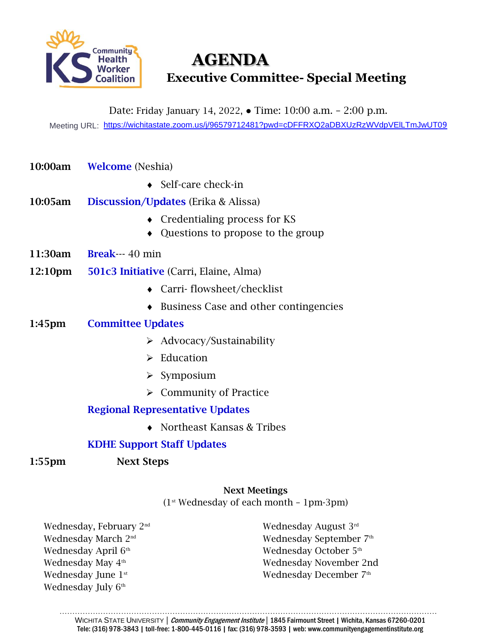

# **AGENDA Executive Committee- Special Meeting**

Date: Friday January 14, 2022, ● Time: 10:00 a.m. – 2:00 p.m.

Meeting URL: [https://wichitastate.zoom.us/j/96579712481?pwd=cDFFRXQ2aDBXUzRzWVdpVElLTmJwUT0](https://wichitastate.zoom.us/j/96579712481?pwd=cDFFRXQ2aDBXUzRzWVdpVElLTmJwUT09)[9](https://wichitastate.zoom.us/j/96579712481?pwd=cDFFRXQ2aDBXUzRzWVdpVElLTmJwUT09)

- 10:00am Welcome (Neshia)
	- Self-care check-in
- 10:05am Discussion/Updates (Erika & Alissa)
	- Credentialing process for KS
	- Questions to propose to the group
- 11:30am Break--- 40 min
- 12:10pm 501c3 Initiative (Carri, Elaine, Alma)
	- Carri- flowsheet/checklist
	- ◆ Business Case and other contingencies

#### 1:45pm Committee Updates

- ➢ Advocacy/Sustainability
- ➢ Education
- ➢ Symposium
- ➢ Community of Practice

### Regional Representative Updates

◆ Northeast Kansas & Tribes

### KDHE Support Staff Updates

1:55pm Next Steps

## Next Meetings  $(1<sup>st</sup> Wednesday of each month - 1pm-3pm)$

Wednesday, February 2nd Wednesday March 2nd Wednesday April 6<sup>th</sup> Wednesday May 4<sup>th</sup> Wednesday June 1<sup>st</sup> Wednesday July 6<sup>th</sup>

Wednesday August 3rd Wednesday September 7 th Wednesday October 5<sup>th</sup> Wednesday November 2nd Wednesday December 7<sup>th</sup>

………………………………………………………………………………………………………………………………… WICHITA STATE UNIVERSITY | Community Engagement Institute | 1845 Fairmount Street | Wichita, Kansas 67260-0201 Tele: (316) 978-3843 | toll-free: 1-800-445-0116 | fax: (316) 978-3593 | web: www.communityengagementinstitute.org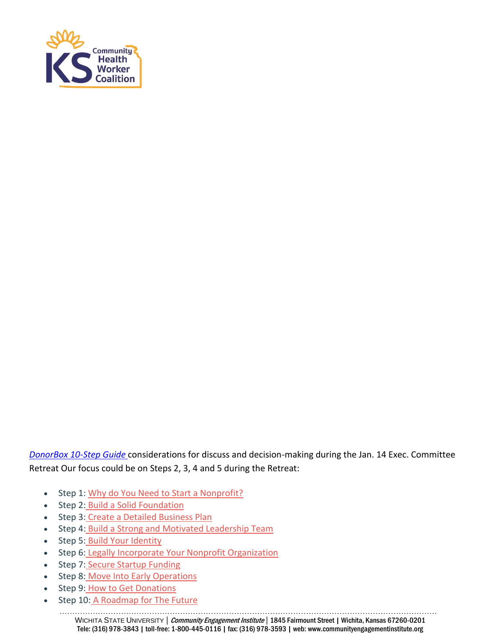

*[DonorBox 10-Step Guide](https://donorbox.org/nonprofit-blog/start-a-nonprofit/)* considerations for discuss and decision-making during the Jan. 14 Exec. Committee Retreat Our focus could be on Steps 2, 3, 4 and 5 during the Retreat:

- Step 1: [Why do You Need to Start a Nonprofit?](https://donorbox.org/nonprofit-blog/start-a-nonprofit/#step-1)
- Step 2: [Build a Solid Foundation](https://donorbox.org/nonprofit-blog/start-a-nonprofit/#step-2)
- Step 3: [Create a Detailed Business Plan](https://donorbox.org/nonprofit-blog/start-a-nonprofit/#step-3)
- Step 4: [Build a Strong and Motivated Leadership Team](https://donorbox.org/nonprofit-blog/start-a-nonprofit/#step-4)
- Step 5: [Build Your Identity](https://donorbox.org/nonprofit-blog/start-a-nonprofit/#step-5)
- Step 6: [Legally Incorporate Your Nonprofit Organization](https://donorbox.org/nonprofit-blog/start-a-nonprofit/#step-6)
- Step 7: [Secure Startup Funding](https://donorbox.org/nonprofit-blog/start-a-nonprofit/#step-7)
- Step 8: [Move Into Early Operations](https://donorbox.org/nonprofit-blog/start-a-nonprofit/#step-8)
- Step 9: [How to Get Donations](https://donorbox.org/nonprofit-blog/start-a-nonprofit/#step-9)
- Step 10: [A Roadmap for The Future](https://donorbox.org/nonprofit-blog/start-a-nonprofit/#step-10)

………………………………………………………………………………………………………………………………… WICHITA STATE UNIVERSITY | Community Engagement Institute | 1845 Fairmount Street | Wichita, Kansas 67260-0201 Tele: (316) 978-3843 | toll-free: 1-800-445-0116 | fax: (316) 978-3593 | web: www.communityengagementinstitute.org